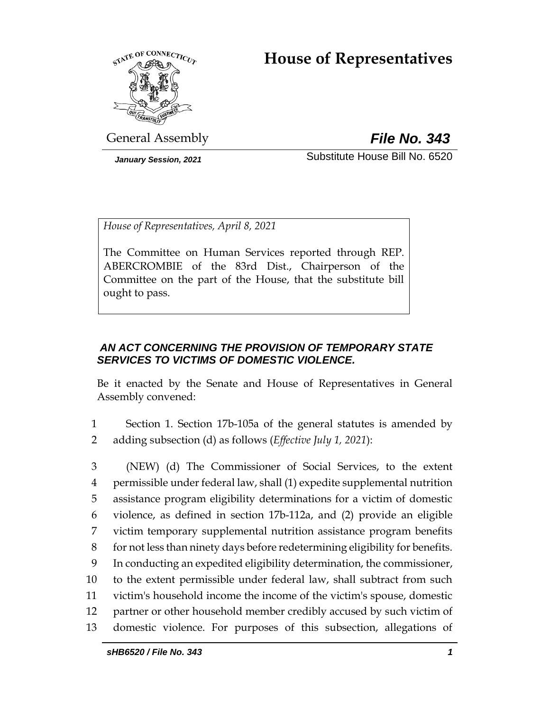# **House of Representatives**



General Assembly *File No. 343*

*January Session, 2021* Substitute House Bill No. 6520

*House of Representatives, April 8, 2021*

The Committee on Human Services reported through REP. ABERCROMBIE of the 83rd Dist., Chairperson of the Committee on the part of the House, that the substitute bill ought to pass.

# *AN ACT CONCERNING THE PROVISION OF TEMPORARY STATE SERVICES TO VICTIMS OF DOMESTIC VIOLENCE.*

Be it enacted by the Senate and House of Representatives in General Assembly convened:

1 Section 1. Section 17b-105a of the general statutes is amended by 2 adding subsection (d) as follows (*Effective July 1, 2021*):

 (NEW) (d) The Commissioner of Social Services, to the extent permissible under federal law, shall (1) expedite supplemental nutrition assistance program eligibility determinations for a victim of domestic violence, as defined in section 17b-112a, and (2) provide an eligible victim temporary supplemental nutrition assistance program benefits for not less than ninety days before redetermining eligibility for benefits. In conducting an expedited eligibility determination, the commissioner, to the extent permissible under federal law, shall subtract from such victim's household income the income of the victim's spouse, domestic partner or other household member credibly accused by such victim of domestic violence. For purposes of this subsection, allegations of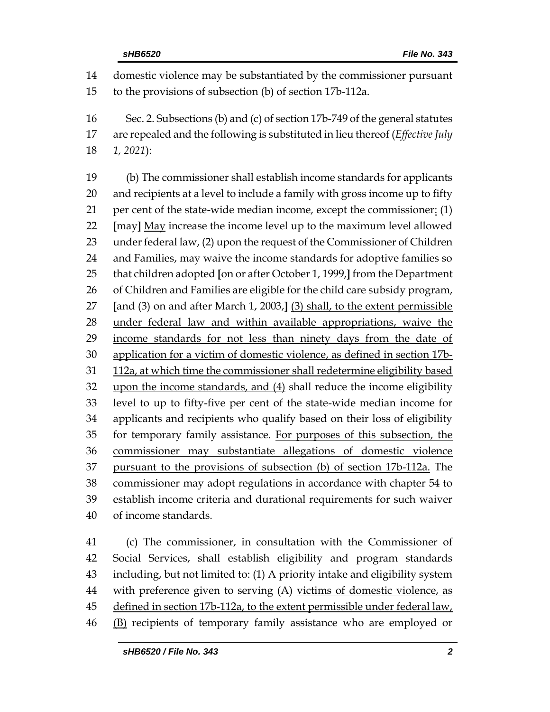domestic violence may be substantiated by the commissioner pursuant to the provisions of subsection (b) of section 17b-112a. Sec. 2. Subsections (b) and (c) of section 17b-749 of the general statutes are repealed and the following is substituted in lieu thereof (*Effective July 1, 2021*): (b) The commissioner shall establish income standards for applicants and recipients at a level to include a family with gross income up to fifty 21 per cent of the state-wide median income, except the commissioner: (1) **[**may**]** May increase the income level up to the maximum level allowed under federal law, (2) upon the request of the Commissioner of Children and Families, may waive the income standards for adoptive families so that children adopted **[**on or after October 1, 1999,**]** from the Department 26 of Children and Families are eligible for the child care subsidy program, **[**and (3) on and after March 1, 2003,**]** (3) shall, to the extent permissible 28 under federal law and within available appropriations, waive the 29 income standards for not less than ninety days from the date of application for a victim of domestic violence, as defined in section 17b- 112a, at which time the commissioner shall redetermine eligibility based upon the income standards, and (4) shall reduce the income eligibility level to up to fifty-five per cent of the state-wide median income for applicants and recipients who qualify based on their loss of eligibility for temporary family assistance. For purposes of this subsection, the commissioner may substantiate allegations of domestic violence pursuant to the provisions of subsection (b) of section 17b-112a. The commissioner may adopt regulations in accordance with chapter 54 to establish income criteria and durational requirements for such waiver of income standards.

 (c) The commissioner, in consultation with the Commissioner of Social Services, shall establish eligibility and program standards including, but not limited to: (1) A priority intake and eligibility system 44 with preference given to serving (A) victims of domestic violence, as 45 defined in section 17b-112a, to the extent permissible under federal law, (B) recipients of temporary family assistance who are employed or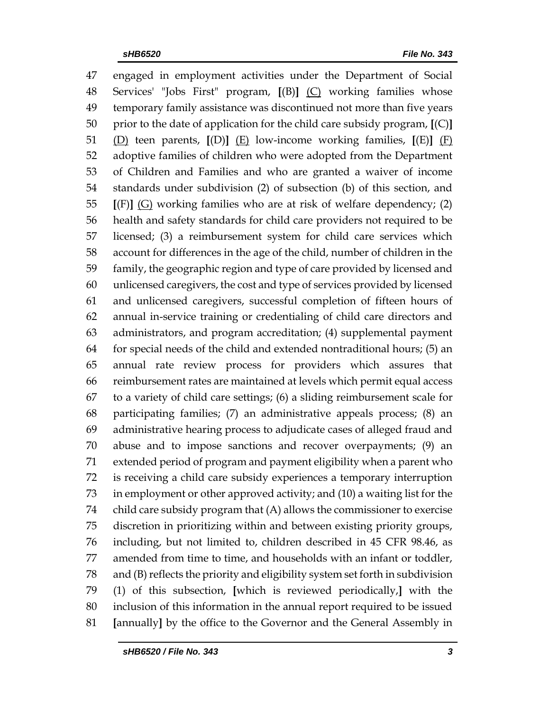engaged in employment activities under the Department of Social Services' "Jobs First" program, **[**(B)**]** (C) working families whose temporary family assistance was discontinued not more than five years prior to the date of application for the child care subsidy program, **[**(C)**]** (D) teen parents, **[**(D)**]** (E) low-income working families, **[**(E)**]** (F) adoptive families of children who were adopted from the Department of Children and Families and who are granted a waiver of income standards under subdivision (2) of subsection (b) of this section, and **[**(F)**]** (G) working families who are at risk of welfare dependency; (2) health and safety standards for child care providers not required to be licensed; (3) a reimbursement system for child care services which account for differences in the age of the child, number of children in the family, the geographic region and type of care provided by licensed and unlicensed caregivers, the cost and type of services provided by licensed and unlicensed caregivers, successful completion of fifteen hours of annual in-service training or credentialing of child care directors and administrators, and program accreditation; (4) supplemental payment for special needs of the child and extended nontraditional hours; (5) an annual rate review process for providers which assures that reimbursement rates are maintained at levels which permit equal access to a variety of child care settings; (6) a sliding reimbursement scale for participating families; (7) an administrative appeals process; (8) an administrative hearing process to adjudicate cases of alleged fraud and abuse and to impose sanctions and recover overpayments; (9) an extended period of program and payment eligibility when a parent who is receiving a child care subsidy experiences a temporary interruption in employment or other approved activity; and (10) a waiting list for the child care subsidy program that (A) allows the commissioner to exercise discretion in prioritizing within and between existing priority groups, including, but not limited to, children described in 45 CFR 98.46, as amended from time to time, and households with an infant or toddler, and (B) reflects the priority and eligibility system set forth in subdivision (1) of this subsection, **[**which is reviewed periodically,**]** with the inclusion of this information in the annual report required to be issued **[**annually**]** by the office to the Governor and the General Assembly in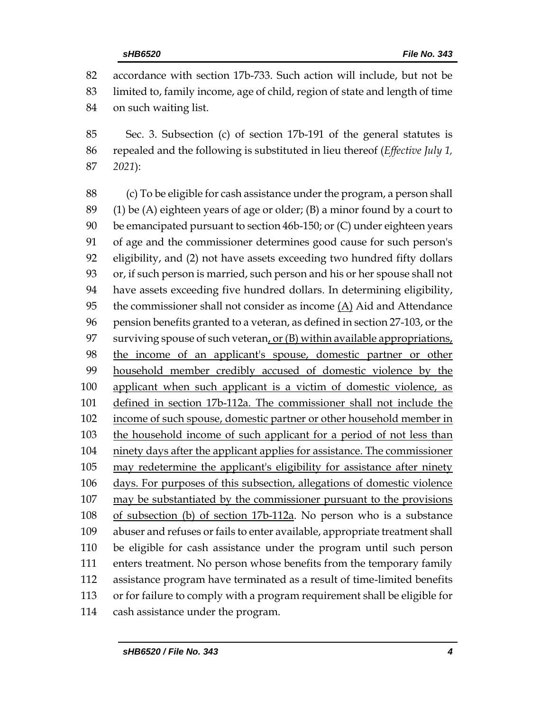accordance with section 17b-733. Such action will include, but not be limited to, family income, age of child, region of state and length of time on such waiting list.

 Sec. 3. Subsection (c) of section 17b-191 of the general statutes is repealed and the following is substituted in lieu thereof (*Effective July 1, 2021*):

 (c) To be eligible for cash assistance under the program, a person shall 89 (1) be (A) eighteen years of age or older; (B) a minor found by a court to be emancipated pursuant to section 46b-150; or (C) under eighteen years of age and the commissioner determines good cause for such person's eligibility, and (2) not have assets exceeding two hundred fifty dollars or, if such person is married, such person and his or her spouse shall not have assets exceeding five hundred dollars. In determining eligibility, 95 the commissioner shall not consider as income  $(A)$  Aid and Attendance pension benefits granted to a veteran, as defined in section 27-103, or the surviving spouse of such veteran, or (B) within available appropriations, the income of an applicant's spouse, domestic partner or other household member credibly accused of domestic violence by the applicant when such applicant is a victim of domestic violence, as defined in section 17b-112a. The commissioner shall not include the income of such spouse, domestic partner or other household member in the household income of such applicant for a period of not less than ninety days after the applicant applies for assistance. The commissioner may redetermine the applicant's eligibility for assistance after ninety days. For purposes of this subsection, allegations of domestic violence may be substantiated by the commissioner pursuant to the provisions of subsection (b) of section 17b-112a. No person who is a substance abuser and refuses or fails to enter available, appropriate treatment shall be eligible for cash assistance under the program until such person enters treatment. No person whose benefits from the temporary family assistance program have terminated as a result of time-limited benefits or for failure to comply with a program requirement shall be eligible for cash assistance under the program.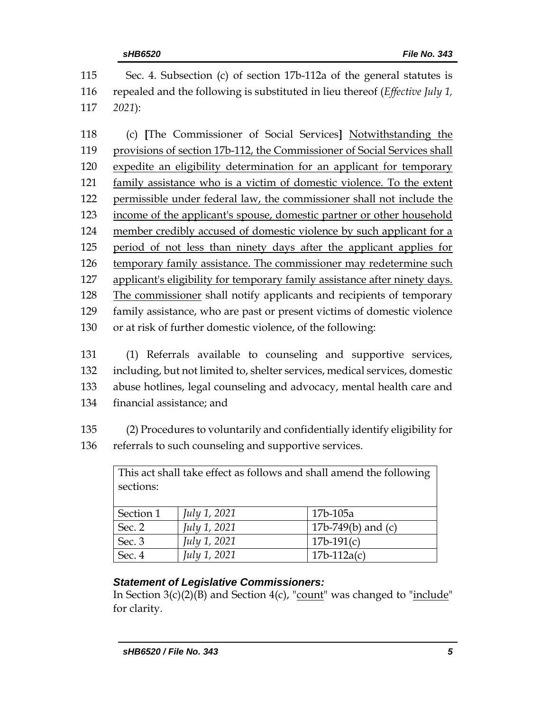Sec. 4. Subsection (c) of section 17b-112a of the general statutes is repealed and the following is substituted in lieu thereof (*Effective July 1, 2021*): (c) **[**The Commissioner of Social Services**]** Notwithstanding the provisions of section 17b-112, the Commissioner of Social Services shall expedite an eligibility determination for an applicant for temporary family assistance who is a victim of domestic violence. To the extent permissible under federal law, the commissioner shall not include the income of the applicant's spouse, domestic partner or other household member credibly accused of domestic violence by such applicant for a period of not less than ninety days after the applicant applies for temporary family assistance. The commissioner may redetermine such applicant's eligibility for temporary family assistance after ninety days. The commissioner shall notify applicants and recipients of temporary family assistance, who are past or present victims of domestic violence

- or at risk of further domestic violence, of the following:
- (1) Referrals available to counseling and supportive services, including, but not limited to, shelter services, medical services, domestic abuse hotlines, legal counseling and advocacy, mental health care and financial assistance; and
- (2) Procedures to voluntarily and confidentially identify eligibility for referrals to such counseling and supportive services.

| This act shall take effect as follows and shall amend the following<br>sections: |                     |                      |  |  |
|----------------------------------------------------------------------------------|---------------------|----------------------|--|--|
| Section 1                                                                        | <i>July 1, 2021</i> | 17b-105a             |  |  |
| Sec. 2                                                                           | July 1, 2021        | 17b-749(b) and $(c)$ |  |  |
| Sec. 3                                                                           | July 1, 2021        | $17b-191(c)$         |  |  |
| Sec. 4                                                                           | July 1, 2021        | $17b-112a(c)$        |  |  |

# *Statement of Legislative Commissioners:*

In Section  $3(c)(2)(B)$  and Section  $4(c)$ , "count" was changed to "include" for clarity.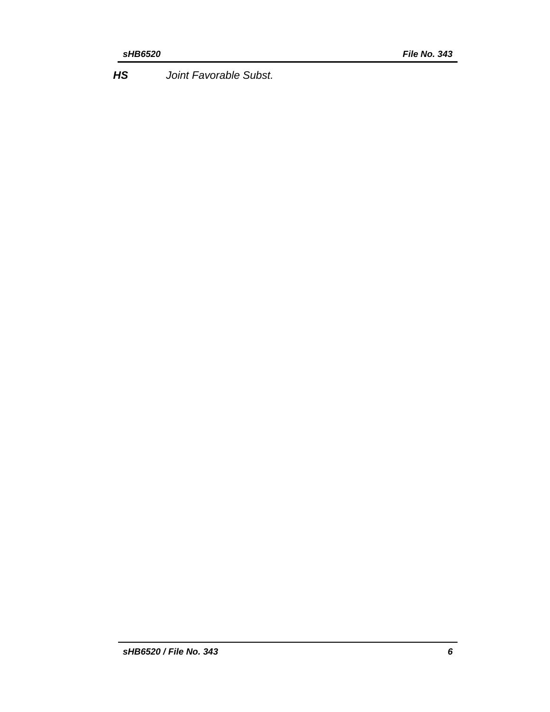*HS Joint Favorable Subst.*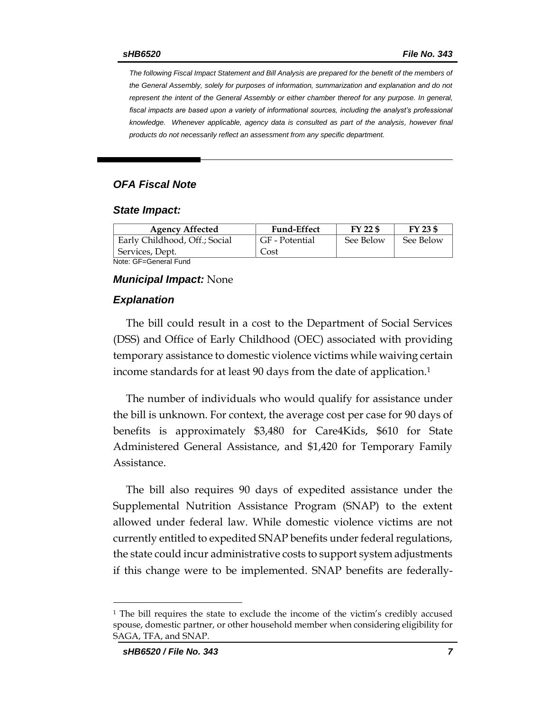*The following Fiscal Impact Statement and Bill Analysis are prepared for the benefit of the members of the General Assembly, solely for purposes of information, summarization and explanation and do not represent the intent of the General Assembly or either chamber thereof for any purpose. In general,*  fiscal impacts are based upon a variety of informational sources, including the analyst's professional *knowledge. Whenever applicable, agency data is consulted as part of the analysis, however final products do not necessarily reflect an assessment from any specific department.*

### *OFA Fiscal Note*

#### *State Impact:*

| <b>Agency Affected</b>        | <b>Fund-Effect</b> | FY 22 \$  | $FY$ 23 \$ |
|-------------------------------|--------------------|-----------|------------|
| Early Childhood, Off.; Social | GF - Potential     | See Below | See Below  |
| Services, Dept.               | Cost               |           |            |
| Nota: OF Canaral Fund         |                    |           |            |

Note: GF=General Fund

#### *Municipal Impact:* None

#### *Explanation*

The bill could result in a cost to the Department of Social Services (DSS) and Office of Early Childhood (OEC) associated with providing temporary assistance to domestic violence victims while waiving certain income standards for at least 90 days from the date of application.<sup>1</sup>

The number of individuals who would qualify for assistance under the bill is unknown. For context, the average cost per case for 90 days of benefits is approximately \$3,480 for Care4Kids, \$610 for State Administered General Assistance, and \$1,420 for Temporary Family Assistance.

The bill also requires 90 days of expedited assistance under the Supplemental Nutrition Assistance Program (SNAP) to the extent allowed under federal law. While domestic violence victims are not currently entitled to expedited SNAP benefits under federal regulations, the state could incur administrative costs to support system adjustments if this change were to be implemented. SNAP benefits are federally-

 $\overline{a}$ 

<sup>1</sup> The bill requires the state to exclude the income of the victim's credibly accused spouse, domestic partner, or other household member when considering eligibility for SAGA, TFA, and SNAP.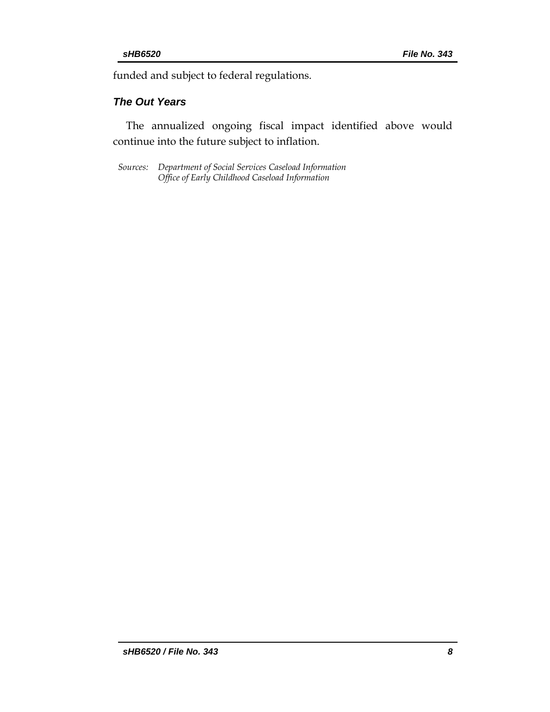funded and subject to federal regulations.

#### *The Out Years*

The annualized ongoing fiscal impact identified above would continue into the future subject to inflation.

*Sources: Department of Social Services Caseload Information Office of Early Childhood Caseload Information*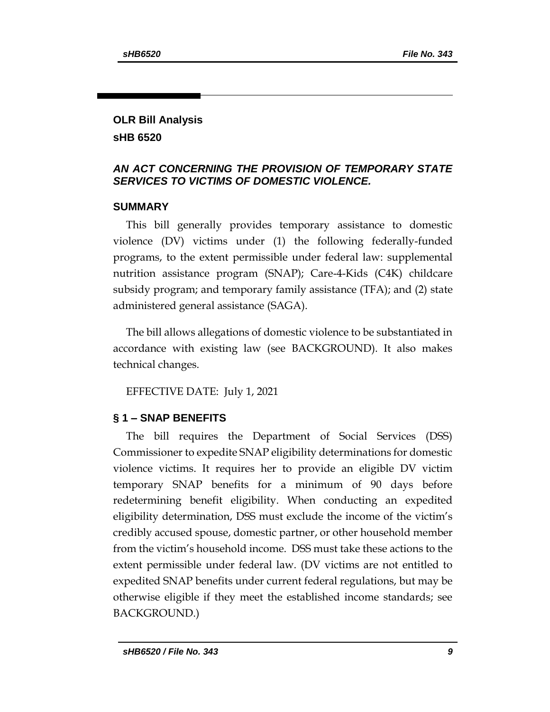### **OLR Bill Analysis sHB 6520**

# *AN ACT CONCERNING THE PROVISION OF TEMPORARY STATE SERVICES TO VICTIMS OF DOMESTIC VIOLENCE.*

# **SUMMARY**

This bill generally provides temporary assistance to domestic violence (DV) victims under (1) the following federally-funded programs, to the extent permissible under federal law: supplemental nutrition assistance program (SNAP); Care-4-Kids (C4K) childcare subsidy program; and temporary family assistance (TFA); and (2) state administered general assistance (SAGA).

The bill allows allegations of domestic violence to be substantiated in accordance with existing law (see BACKGROUND). It also makes technical changes.

EFFECTIVE DATE: July 1, 2021

# **§ 1 – SNAP BENEFITS**

The bill requires the Department of Social Services (DSS) Commissioner to expedite SNAP eligibility determinations for domestic violence victims. It requires her to provide an eligible DV victim temporary SNAP benefits for a minimum of 90 days before redetermining benefit eligibility. When conducting an expedited eligibility determination, DSS must exclude the income of the victim's credibly accused spouse, domestic partner, or other household member from the victim's household income. DSS must take these actions to the extent permissible under federal law. (DV victims are not entitled to expedited SNAP benefits under current federal regulations, but may be otherwise eligible if they meet the established income standards; see BACKGROUND.)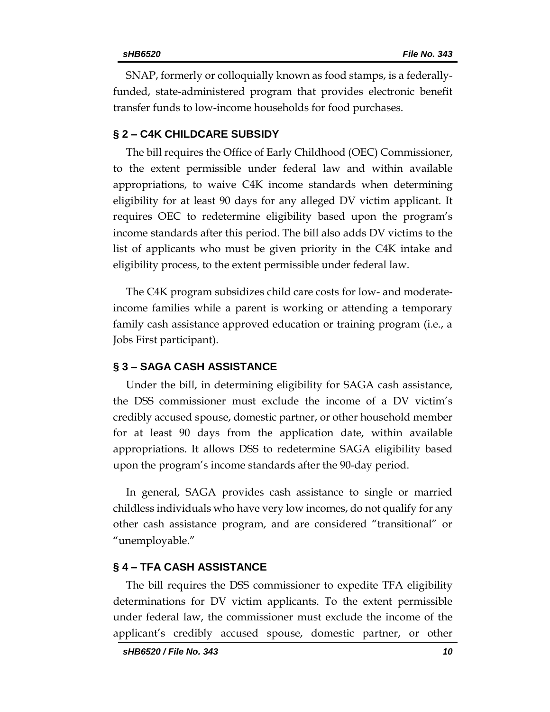SNAP, formerly or colloquially known as food stamps, is a federallyfunded, state-administered program that provides electronic benefit transfer funds to low-income households for food purchases.

#### **§ 2 – C4K CHILDCARE SUBSIDY**

The bill requires the Office of Early Childhood (OEC) Commissioner, to the extent permissible under federal law and within available appropriations, to waive C4K income standards when determining eligibility for at least 90 days for any alleged DV victim applicant. It requires OEC to redetermine eligibility based upon the program's income standards after this period. The bill also adds DV victims to the list of applicants who must be given priority in the C4K intake and eligibility process, to the extent permissible under federal law.

The C4K program subsidizes child care costs for low- and moderateincome families while a parent is working or attending a temporary family cash assistance approved education or training program (i.e., a Jobs First participant).

#### **§ 3 – SAGA CASH ASSISTANCE**

Under the bill, in determining eligibility for SAGA cash assistance, the DSS commissioner must exclude the income of a DV victim's credibly accused spouse, domestic partner, or other household member for at least 90 days from the application date, within available appropriations. It allows DSS to redetermine SAGA eligibility based upon the program's income standards after the 90-day period.

In general, SAGA provides cash assistance to single or married childless individuals who have very low incomes, do not qualify for any other cash assistance program, and are considered "transitional" or "unemployable."

#### **§ 4 – TFA CASH ASSISTANCE**

The bill requires the DSS commissioner to expedite TFA eligibility determinations for DV victim applicants. To the extent permissible under federal law, the commissioner must exclude the income of the applicant's credibly accused spouse, domestic partner, or other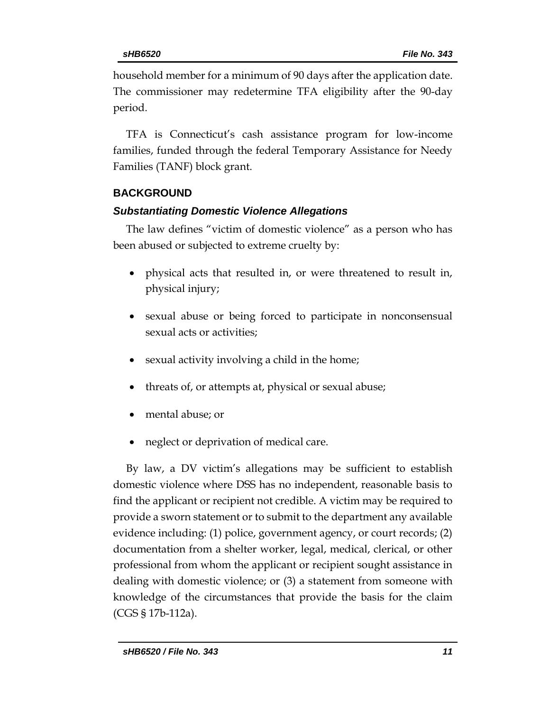household member for a minimum of 90 days after the application date. The commissioner may redetermine TFA eligibility after the 90-day period.

TFA is Connecticut's cash assistance program for low-income families, funded through the federal Temporary Assistance for Needy Families (TANF) block grant.

# **BACKGROUND**

### *Substantiating Domestic Violence Allegations*

The law defines "victim of domestic violence" as a person who has been abused or subjected to extreme cruelty by:

- physical acts that resulted in, or were threatened to result in, physical injury;
- sexual abuse or being forced to participate in nonconsensual sexual acts or activities;
- sexual activity involving a child in the home;
- threats of, or attempts at, physical or sexual abuse;
- mental abuse; or
- neglect or deprivation of medical care.

By law, a DV victim's allegations may be sufficient to establish domestic violence where DSS has no independent, reasonable basis to find the applicant or recipient not credible. A victim may be required to provide a sworn statement or to submit to the department any available evidence including: (1) police, government agency, or court records; (2) documentation from a shelter worker, legal, medical, clerical, or other professional from whom the applicant or recipient sought assistance in dealing with domestic violence; or (3) a statement from someone with knowledge of the circumstances that provide the basis for the claim (CGS § 17b-112a).